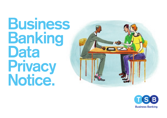# **Business Banking Data Privacy Notice.**



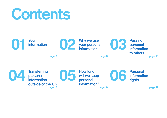# **Contents**

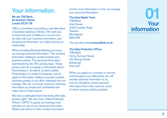# **Your information.**

#### **We are TSB Bank, 20 Gresham Street, London EC2V 7JE**

TSB is committed to providing a real alternative in business banking in Britain. We want you to have trust and confidence in us and how we deal with your business information, and the personal information we collect during our relationship.

When providing Business Banking services, we manage personal information. This includes information relating to product parties and business parties. This personal information is protected by the UK's privacy laws. These privacy laws do not apply to information about Partnerships in Scotland, Limited Liability Partnerships or Limited Companies, but do apply to information relating to product parties, business parties or any other individual who we manage. We will, of course, treat your business information as private and confidential and make sure it is kept secure.

We have a dedicated team that looks after data privacy rights. We also have a Data Protection Officer ("DPO") to guide our business and oversee our use of your personal information. Please see below for their contact information

and for more information on how we manage your personal information.

**The Data Rights Team** TSB Bank Ariel House 2138 Coventry Road **Sheldon Birmingham** B26 3JW

You can also email **privacy@tsb.co.uk**

#### **The Data Protection Officer**

TSB Bank Henry Duncan House 120 George Street **Edinburgh** EH2 4LH

When you apply for a product or service, and throughout our relationship, you will provide personal information to us, and we will gather certain personal information from other sources, some of which may be publicly available.

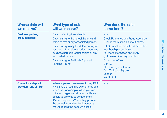| Whose data will<br>we receive?                       | What type of data<br>will we receive?                                                                                                                                                                                                                                                                                                           | Who does the data<br>come from?                                                                                                                                                                                                                                                                                                                                    |
|------------------------------------------------------|-------------------------------------------------------------------------------------------------------------------------------------------------------------------------------------------------------------------------------------------------------------------------------------------------------------------------------------------------|--------------------------------------------------------------------------------------------------------------------------------------------------------------------------------------------------------------------------------------------------------------------------------------------------------------------------------------------------------------------|
| <b>Business parties,</b><br>product parties          | Data confirming their identity.<br>Data relating to their credit history and<br>status of that or any associated person.<br>Data relating to any fraudulent activity or<br>suspected fraudulent activity concerning<br>business parties/product parties or any<br>associated person.<br>Data relating to Politically Exposed<br>Persons (PEPs). | You.<br><b>Credit Reference and Fraud Agencies.</b><br>Further information is set out below.<br>CIFAS, a not-for-profit fraud prevention<br>membership organisation.<br>For more information on CIFAS<br>go to www.cifas.org or write to:<br><b>Consumer Affairs,</b><br>CIFAS,<br>6th Floor, Lynton House,<br>7-12 Tavistock Square,<br>London<br><b>WC1H 9LT</b> |
| <b>Guarantors, deposit</b><br>providers, and similar | Where a person guarantees to pay TSB<br>any sums that you may owe, or provides<br>a deposit (for example, when you take<br>out a mortgage), we will record sufficient<br>details to allow us to contact them<br>if/when required. Where they provide<br>the deposit from their bank account,<br>we will record the account details.             | You.                                                                                                                                                                                                                                                                                                                                                               |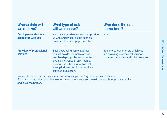| Whose data will<br>we receive?                      | What type of data<br>will we receive?                                                                                                                                                                                                                              | Who does the data<br>come from?                                                                                        |
|-----------------------------------------------------|--------------------------------------------------------------------------------------------------------------------------------------------------------------------------------------------------------------------------------------------------------------------|------------------------------------------------------------------------------------------------------------------------|
| <b>Employees and others</b><br>associated with you  | In some circumstances, you may provide<br>us with employees' details such as<br>name, address and payroll number.                                                                                                                                                  | You.                                                                                                                   |
| <b>Providers of professional</b><br><b>services</b> | Business/trading name, address,<br>contact details, internal reference,<br>membership of professional bodies,<br>levels of insurance (if any), identity<br>of client and other information that<br>is supplied to us for the professional<br>services in question. | You, the person or entity which you<br>are providing professional services,<br>professional bodies and public sources. |

We can't open or maintain an account or service if you don't give us certain information. For example, we will not be able to open an account unless you provide details about product parties and business parties.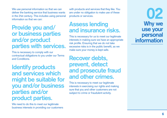We use personal information so that we can deliver the banking service that business wants in the 21st century. This includes using personal information so that we can:

#### **Provide you and/ or business parties and/or product parties with services.**

This is necessary to comply with our contractual obligations to you under our Terms and Conditions.

**Identify products and services which might be suitable for you and/or business parties and/or product parties.**

We need to do this to meet our legitimate business interests in providing our customers with products and services that they like. You are under no obligation to make use of these products or services.

#### **Assess lending and insurance risks.**

This is necessary for us to meet our legitimate interests in making sure we have an appropriate risk profile. Ensuring that we do not take excessive risks is in the public benefit, as we make sure your money is kept safe.

#### **Recover debts, prevent, detect and prosecute fraud and other crimes.**

This is necessary to meet our legitimate interests in exercising our rights and making sure that you and other customers are not subject to crime or fraudulent activity.

**02 Why we use your personal information**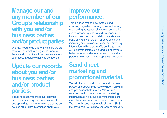**Manage our and any member of our Group's relationship with you and/or business parties and/or product parties.**

We may need to do this to make sure we can meet our contractual obligations under our Terms and Conditions. It also lets us access your account details when you contact us.

**Update our records about you and/or business parties and/or product parties.**

This is necessary to meet our legitimate interests in keeping our records accurate and up to date, and to make sure that we do not use out of date information about you.

#### **Improve our performance.**

This includes testing new systems and checking upgrades to existing systems, training, undertaking transactional analysis, conducting audits, assessing lending and insurance risks. It also covers customer modelling, statistical and trend analysis with the aim of developing and improving products and services, and providing information to Regulators. We do this to meet our legitimate interests in giving our customers better services, and making sure commercial and personal information is appropriately protected.

### **Send direct marketing and promotional material.**

We will offer you, product parties and business parties, an opportunity to receive direct marketing and promotional information. We will use your personal information to send marketing information as it's in our legitimate interests to market our products to our business customers. We will only send post, email, phone or SMS marketing if you let us know you want to receive it.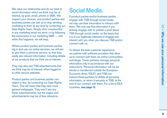We value our relationship and do our best to send information which we think may be of interest, by post, email, phone or SMS. We respect your choices, and product parties and business parties can ask us to stop sending marketing to them at any time by contacting our Data Rights Team. Simply click 'unsubscribe' in any marketing email we send, or by following the instructions in our marketing SMS — and when this happens, we will stop.

Where product parties and business parties log in and use our online services, we will aim to give them a personal service, so that they easily see relevant information, including details of our products that we think are of interest.

They may also see TSB advertisements that we think may be of interest, when logged in to other secure websites.

Product parties and business parties can object to this, by contacting our Data Rights Team. This will mean that they view more general webpages. They won't see any fewer advertisements, but the pages and advertisements may be of less relevance.

## **Social Media.**

If product parties and/or business parties engage with TSB through social media, we may use their information to interact with them. We only use this information if you actively engage with or publish a post about TSB through social media, on the basis that it is in our legitimate interests to engage and interact with you when you discuss TSB and/or connect with us.

To deliver the best customer experience, we partner with software providers that allow us to connect with them via online communities and blogs. These partners manage personal information only in accordance with our instructions. Personal information will not be stored or transferred outside the European Economic Area ("EEA") and TSB can instruct these partners to delete all personal information, or return it securely to TSB, at the end of our contract with them. For a list of EEA countries, **see page 13** .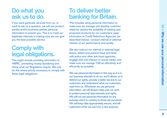## **Do what you ask us to do.**

If you want particular services from us, or want to ask us a question, we will use product parties and/or business parties personal information to answer you. This is to meet our legitimate interests in making sure we can give you the best possible service.

## **Comply with legal obligations.**

This might include providing information to HMRC, preventing money laundering and doing what our Regulators require. We only do this where strictly necessary to comply with these legal obligations.

## **To deliver better banking for Britain.**

This includes using personal information to make sure we manage and develop customer relations; assess the suitability of existing and proposed products for our customers; pass information to Credit Reference Agencies (as described below); conduct internal or external reviews of our performance and quality.

We also instruct our internal or external legal teams; detect and prevent fraud and liaise with police and other anti-fraud agencies; engage with and interact on social media; and make sure we manage TSB as effectively and efficiently as possible.

We use personal information in this way as it is in our business interests to do so, and it allows us to defend our rights, provide a better service to our customers and understand what our customers want from us. Whenever we use personal information, we will always make sure we work to protect personal data interests and rights. We will not use personal information for any purpose which is contrary to those set out above. We will keep data appropriately secure, and tell customers when we use it for a new purpose.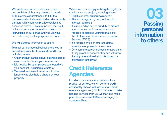We treat personal information as private and confidential, but may disclose it outside TSB in some circumstances, to fulfil the purposes set out above (including sharing with partners with whom we provide services as described above). This may include sharing it with subcontractors, who will act only on our instructions or our behalf, and will use your information only for the purposes set out above.

#### We will disclose information to others:

To meet our contractual obligations to you in accordance with the Terms and Conditions, including where:

- Other product parties and/or business parties may be entitled to see your transactions
- It is needed by other parties connected with your account (including guarantors)
- We need to share information with other lenders who also hold a charge on your property

Where we must comply with legal obligations to which we are subject, including where:

- HMRC or other authorities require it
- The law, a regulatory body or the public interest requires it
- It is required as part of our duty to protect your accounts — for example we are required to disclose your information to the UK Financial Services Compensation Scheme (FSCS)
- It's required by us or others to detect, investigate or prevent crime or fraud
- Or where the person consents or asks us to. If they give their consent, they can withdraw it at any time and we'll stop disclosing the information in that way

### **Credit Reference Agencies.**

In order to process your application for a product or service, we will perform credit and identity checks with one or more credit reference agencies ("CRAs"). Where you take banking services from us, we may also make periodic searches at CRAs to manage your account with us.

**03 Passing personal information to others**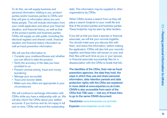To do this, we will supply business and personal information relating to you, product parties and/or business parties to CRAs and they will give us information about you and these people. This will include information from your credit application and about your financial situation, and financial history, as well as that of the product parties and business parties. CRAs will supply us with public (including the electoral register) and shared credit, financial situation and financial history information as well as fraud prevention information.

We will use this information to:

- Consider your creditworthiness and whether you can afford to take the product
- Verify the accuracy of the data you have provided to us
- Prevent criminal activity, fraud and money laundering
- Manage your account(s)
- Trace and recover debts
- Make sure any offers are appropriate to your circumstances

We will continue to exchange information with CRAs while you have a relationship with us. We will also inform the CRAs about your settled accounts. If you borrow and do not repay in full and on time, CRAs will record the outstanding

debt. This information may be supplied to other organisations by CRAs.

When CRAs receive a search from us they will place a search footprint on your credit file and that of the product parties and business parties. These footprints may be seen by other lenders.

If you tell us that you have a spouse or financial associate, we will link your records together. You should make sure you discuss this with them, and share this information, before making the application. CRAs will also link your records together and these links will remain on your and their files until such time as you or your spouse, or financial associate successfully files for a disassociation with the CRAs to break that link.

**The identities of the CRAs, their role as fraud prevention agencies, the data they hold, the ways in which they use and share personal information, data retention periods and data protection rights with the CRAs are explained in more detail at www.experian.co.uk/crain. CRAIN is also accessible from each of the CRAs that TSB uses — visit any of these links to go to the same CRAIN document** :

**TransUnion www.transunion.co.uk/crain**

**Experian www.experian.co.uk/crain**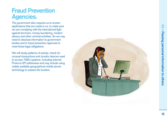# **Fraud Prevention Agencies.**

The government also requires us to screen applications that are made to us, to make sure we are complying with the international fight against terrorism, money laundering, modern slavery and other criminal activities. So we may need to disclose information to government bodies and to fraud prevention agencies to meet these legal obligations.

We will study patterns of activity, check for unusual transactions and monitor devices used to access TSB's systems. Including Internet Protocol (IP) addresses and may include using widely available geographical mobile phone technology to assess the location.

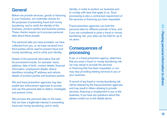#### **General**

Before we provide services, goods or financing to your business, we undertake checks for the purposes of preventing fraud and money laundering, and to verify the identity of the business, product parties and business parties. These checks require us to process personal data about these people.

The personal data you have provided, we have collected from you, or we have received from third parties will be used to prevent fraud and money laundering, and to verify your identity.

Details of the personal information that will be processed include, for example: name, address, date of birth, contact details, financial information, employment details, device identifiers including IP address and vehicle details of product parties and business parties.

We and fraud prevention agencies may also enable law enforcement agencies to access and use this personal data to detect, investigate and prevent crime.

We process this personal data on the basis that we have a legitimate interest in preventing fraud and money laundering, and to verify

identity, in order to protect our business and to comply with laws that apply to us. Such processing is also a contractual requirement of the services or financing you have requested.

Fraud prevention agencies can hold this personal data for different periods of time, and if you are considered to pose a fraud or money laundering risk, your data can be held for up to six years.

#### **Consequences of processing**

If we, or a fraud prevention agency, determine that you pose a fraud or money laundering risk, we may refuse to provide the services or financing that has been requested, or we may stop providing existing services to you or your business.

A record of any fraud or money laundering risk will be retained by the fraud prevention agencies, and may result in others refusing to provide services, financing or employment to you or the business. If you have any questions about this, please contact us on the details above.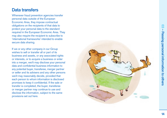#### **Data transfers**

Whenever fraud prevention agencies transfer personal data outside of the European Economic Area, they impose contractual obligations on the recipients of that data to protect your personal data to the standard required in the European Economic Area. They may also require the recipient to subscribe to 'international frameworks' intended to enable secure data sharing.

If we or any other company in our Group wishes to sell or transfer all or part of its business and assets, or any associated rights or interests, or to acquire a business or enter into a merger, we/it may disclose your personal data and confidential business information to any potential buyer, transferee, merger partner or seller and its advisers and any other persons we/it may reasonably decide, provided that each person to whom information is disclosed promises to keep it confidential. If the sale or transfer is completed, the buyer, transferee or merger partner may continue to use and disclose the information, subject to the same provisions set out here.

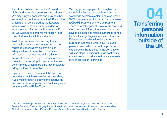The UK and other EEA countries\* provide a high standard of data protection and privacy. We may run your accounts and provide other services from centres outside the UK and FFA which are not considered by the European Commission to have a similar standard of legal protection for personal information. If so, we will require personal information to be protected to at least UK standards.

To do this, we make sure we only transfer personal information to countries which are regarded under EU law as providing an adequate level of protection for personal information, to companies in the USA which are certified as providing an adequate level of protection, or we will put in place contractual commitments which make sure they provide an adequate level of protection.

If you want to learn more about the specific countries to which we transfer personal data, or if you wish to obtain a copy of the safeguards we have in place for particular countries, please contact the Data Rights Team.

We may process payments through other financial institutions such as banks and the worldwide payments system operated by the SWIFT organisation if, for example, you make a CHAPS payment or a foreign payment. Those external organisations may process and store personal information abroad and may have to disclose it to foreign authorities to help them in their fight against crime and terrorism. If these are based outside the UK and the European Economic Area\* ("EEA"), such personal information may not be protected to standards similar to those in the UK, but we will take steps, including through contractual commitments, to make sure that an adequate level of protection is provided.

**04 Transferring personal information outside of the UK**

\*Countries that belong to the EEA: Austria, Belgium, Bulgaria, Czech Republic, Cyprus, Denmark, Estonia, Finland, France, Germany, Greece, Hungary, Iceland, Ireland, Italy, Latvia, Liechtenstein, Lithuania, Luxembourg, Malta, Netherlands, Norway, Poland, Portugal, Romania, Slovakia, Slovenia, Spain, Sweden, United Kingdom.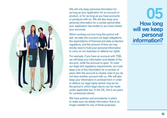

We will only keep personal information for as long as your application for an account or product, or for as long as you have accounts or products with us. We will also keep your personal information for a certain period after your application has ended or you have closed your accounts.

When working out how long this period will last, we take into account our legal obligations, the expectations of financial and data protection regulators, and the amount of time we may strictly need to hold your personal information to carry on our business or defend our rights.

For example, if you have an account with TSB, we will keep your information and details of the account, while the account is open. To meet our legal and regulatory requirements, we must keep a lot of this information for a number of years after the account is closed, even if you do not have another account with us. We will also keep your information in archived form in order to defend our legal rights (which may be for the period in which legal claims can be made under applicable law. In the UK, this is six years for contractual claims).

We have policies and procedures in place to make sure we delete information that is no longer needed for any of these purposes.

**05 How long will we keep personal information?**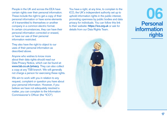People in the UK and across the EEA have certain rights over their personal information. These include the right to get a copy of their personal information or have some elements of it transmitted to themselves or another company in a common electric format. In certain circumstances, they can have their personal information corrected or erased, or have our use of their personal information restricted.

They also have the right to object to our uses of their personal information as described above.

Anyone who wishes to know more about their data rights should read our Data Privacy Notice, which can be found at: **www.tsb.co.uk/privacy**. They can also collect a copy at any TSB branch. We will generally not charge a person for exercising these rights.

We aim to work with you in relation to any request, complaint or question you have about your personal information. However, if you believe we have not adequately resolved a matter, you can complain to the Information Commissioner's Officer (the "ICO").

You have a right, at any time, to complain to the ICO, the UK's independent authority set up to uphold information rights in the public interest, promoting openness by public bodies and data privacy for individuals. You can follow this link to their website: **https://ico.org.uk** or ask for details from our Data Rights Team.



**06 Personal information rights**